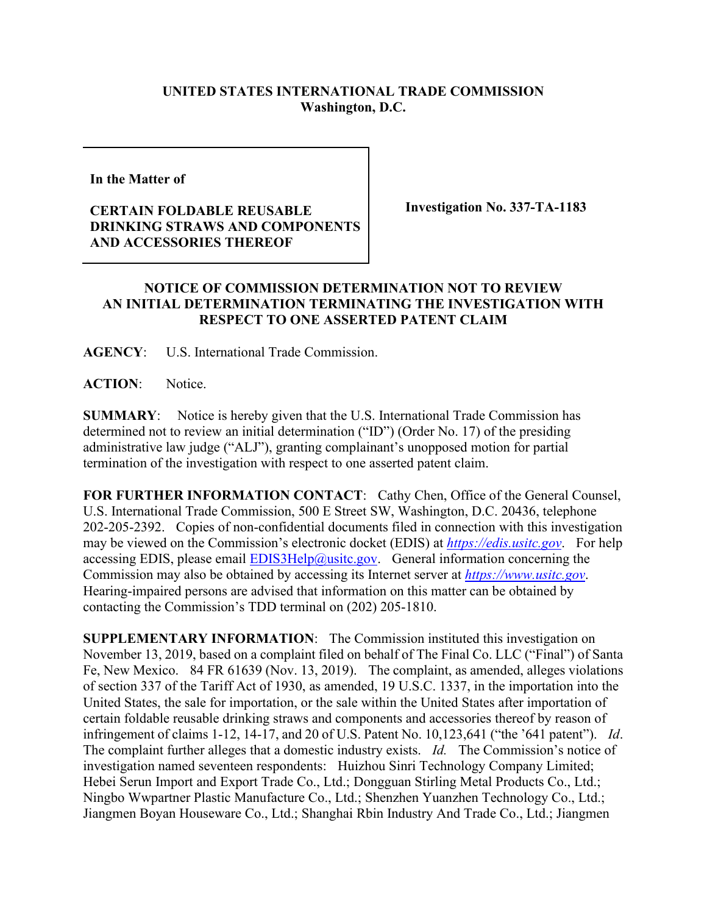## **UNITED STATES INTERNATIONAL TRADE COMMISSION Washington, D.C.**

**In the Matter of** 

## **CERTAIN FOLDABLE REUSABLE DRINKING STRAWS AND COMPONENTS AND ACCESSORIES THEREOF**

**Investigation No. 337-TA-1183**

## **NOTICE OF COMMISSION DETERMINATION NOT TO REVIEW AN INITIAL DETERMINATION TERMINATING THE INVESTIGATION WITH RESPECT TO ONE ASSERTED PATENT CLAIM**

**AGENCY**: U.S. International Trade Commission.

**ACTION**: Notice.

**SUMMARY**: Notice is hereby given that the U.S. International Trade Commission has determined not to review an initial determination ("ID") (Order No. 17) of the presiding administrative law judge ("ALJ"), granting complainant's unopposed motion for partial termination of the investigation with respect to one asserted patent claim.

FOR FURTHER INFORMATION CONTACT: Cathy Chen, Office of the General Counsel, U.S. International Trade Commission, 500 E Street SW, Washington, D.C. 20436, telephone 202-205-2392. Copies of non-confidential documents filed in connection with this investigation may be viewed on the Commission's electronic docket (EDIS) at *[https://edis.usitc.gov](https://edis.usitc.gov/)*. For help accessing EDIS, please email  $EDIS3Help@ustc.gov$ . General information concerning the Commission may also be obtained by accessing its Internet server at *[https://www.usitc.gov](https://www.usitc.gov/)*. Hearing-impaired persons are advised that information on this matter can be obtained by contacting the Commission's TDD terminal on (202) 205-1810.

**SUPPLEMENTARY INFORMATION**: The Commission instituted this investigation on November 13, 2019, based on a complaint filed on behalf of The Final Co. LLC ("Final") of Santa Fe, New Mexico. 84 FR 61639 (Nov. 13, 2019). The complaint, as amended, alleges violations of section 337 of the Tariff Act of 1930, as amended, 19 U.S.C. 1337, in the importation into the United States, the sale for importation, or the sale within the United States after importation of certain foldable reusable drinking straws and components and accessories thereof by reason of infringement of claims 1-12, 14-17, and 20 of U.S. Patent No. 10,123,641 ("the '641 patent"). *Id*. The complaint further alleges that a domestic industry exists. *Id.* The Commission's notice of investigation named seventeen respondents: Huizhou Sinri Technology Company Limited; Hebei Serun Import and Export Trade Co., Ltd.; Dongguan Stirling Metal Products Co., Ltd.; Ningbo Wwpartner Plastic Manufacture Co., Ltd.; Shenzhen Yuanzhen Technology Co., Ltd.; Jiangmen Boyan Houseware Co., Ltd.; Shanghai Rbin Industry And Trade Co., Ltd.; Jiangmen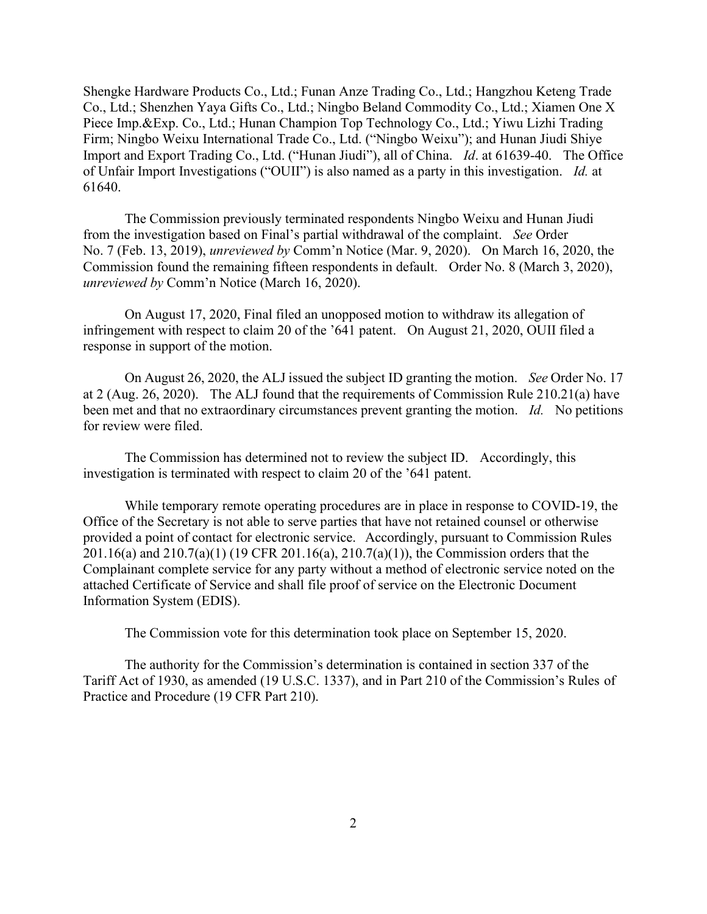Shengke Hardware Products Co., Ltd.; Funan Anze Trading Co., Ltd.; Hangzhou Keteng Trade Co., Ltd.; Shenzhen Yaya Gifts Co., Ltd.; Ningbo Beland Commodity Co., Ltd.; Xiamen One X Piece Imp.&Exp. Co., Ltd.; Hunan Champion Top Technology Co., Ltd.; Yiwu Lizhi Trading Firm; Ningbo Weixu International Trade Co., Ltd. ("Ningbo Weixu"); and Hunan Jiudi Shiye Import and Export Trading Co., Ltd. ("Hunan Jiudi"), all of China. *Id*. at 61639-40. The Office of Unfair Import Investigations ("OUII") is also named as a party in this investigation. *Id.* at 61640.

The Commission previously terminated respondents Ningbo Weixu and Hunan Jiudi from the investigation based on Final's partial withdrawal of the complaint. *See* Order No. 7 (Feb. 13, 2019), *unreviewed by* Comm'n Notice (Mar. 9, 2020). On March 16, 2020, the Commission found the remaining fifteen respondents in default. Order No. 8 (March 3, 2020), *unreviewed by* Comm'n Notice (March 16, 2020).

On August 17, 2020, Final filed an unopposed motion to withdraw its allegation of infringement with respect to claim 20 of the '641 patent. On August 21, 2020, OUII filed a response in support of the motion.

On August 26, 2020, the ALJ issued the subject ID granting the motion. *See* Order No. 17 at 2 (Aug. 26, 2020). The ALJ found that the requirements of Commission Rule 210.21(a) have been met and that no extraordinary circumstances prevent granting the motion. *Id.* No petitions for review were filed.

The Commission has determined not to review the subject ID. Accordingly, this investigation is terminated with respect to claim 20 of the '641 patent.

While temporary remote operating procedures are in place in response to COVID-19, the Office of the Secretary is not able to serve parties that have not retained counsel or otherwise provided a point of contact for electronic service. Accordingly, pursuant to Commission Rules 201.16(a) and 210.7(a)(1) (19 CFR 201.16(a), 210.7(a)(1)), the Commission orders that the Complainant complete service for any party without a method of electronic service noted on the attached Certificate of Service and shall file proof of service on the Electronic Document Information System (EDIS).

The Commission vote for this determination took place on September 15, 2020.

The authority for the Commission's determination is contained in section 337 of the Tariff Act of 1930, as amended (19 U.S.C. 1337), and in Part 210 of the Commission's Rules of Practice and Procedure (19 CFR Part 210).